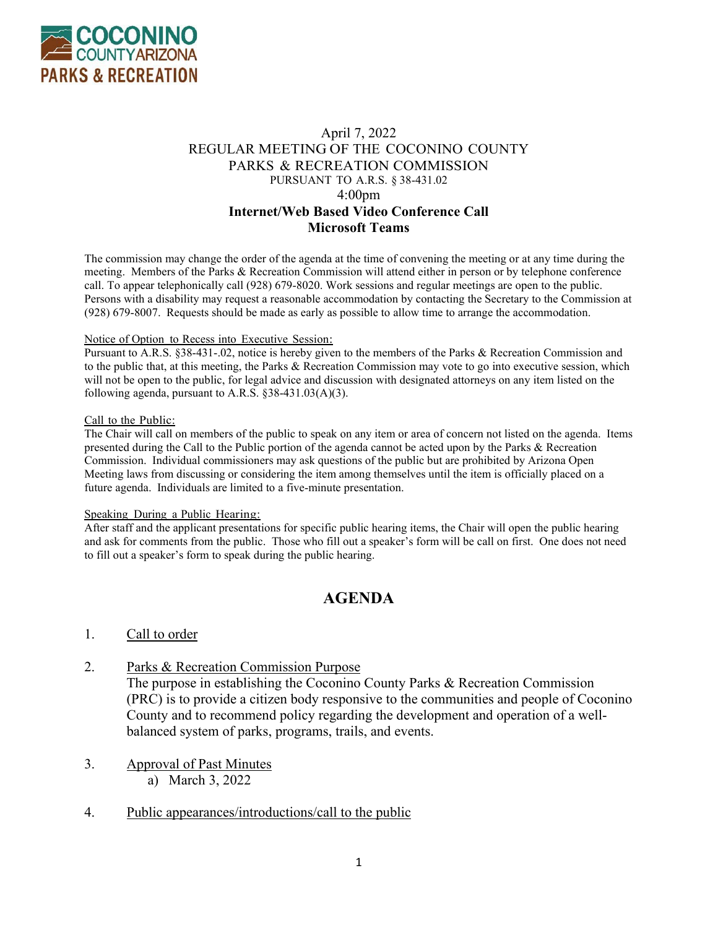

# April 7, 2022 REGULAR MEETING OF THE COCONINO COUNTY PARKS & RECREATION COMMISSION PURSUANT TO A.R.S. § 38-431.02 4:00pm **Internet/Web Based Video Conference Call Microsoft Teams**

The commission may change the order of the agenda at the time of convening the meeting or at any time during the meeting. Members of the Parks & Recreation Commission will attend either in person or by telephone conference call. To appear telephonically call (928) 679-8020. Work sessions and regular meetings are open to the public. Persons with a disability may request a reasonable accommodation by contacting the Secretary to the Commission at (928) 679-8007. Requests should be made as early as possible to allow time to arrange the accommodation.

#### Notice of Option to Recess into Executive Session:

Pursuant to A.R.S. §38-431-.02, notice is hereby given to the members of the Parks & Recreation Commission and to the public that, at this meeting, the Parks & Recreation Commission may vote to go into executive session, which will not be open to the public, for legal advice and discussion with designated attorneys on any item listed on the following agenda, pursuant to A.R.S.  $§ 38-431.03(A)(3)$ .

#### Call to the Public:

The Chair will call on members of the public to speak on any item or area of concern not listed on the agenda. Items presented during the Call to the Public portion of the agenda cannot be acted upon by the Parks & Recreation Commission. Individual commissioners may ask questions of the public but are prohibited by Arizona Open Meeting laws from discussing or considering the item among themselves until the item is officially placed on a future agenda. Individuals are limited to a five-minute presentation.

### Speaking During a Public Hearing:

After staff and the applicant presentations for specific public hearing items, the Chair will open the public hearing and ask for comments from the public. Those who fill out a speaker's form will be call on first. One does not need to fill out a speaker's form to speak during the public hearing.

# **AGENDA**

## 1. Call to order

## 2. Parks & Recreation Commission Purpose

The purpose in establishing the Coconino County Parks & Recreation Commission (PRC) is to provide a citizen body responsive to the communities and people of Coconino County and to recommend policy regarding the development and operation of a wellbalanced system of parks, programs, trails, and events.

# 3. Approval of Past Minutes

a) March 3, 2022

## 4. Public appearances/introductions/call to the public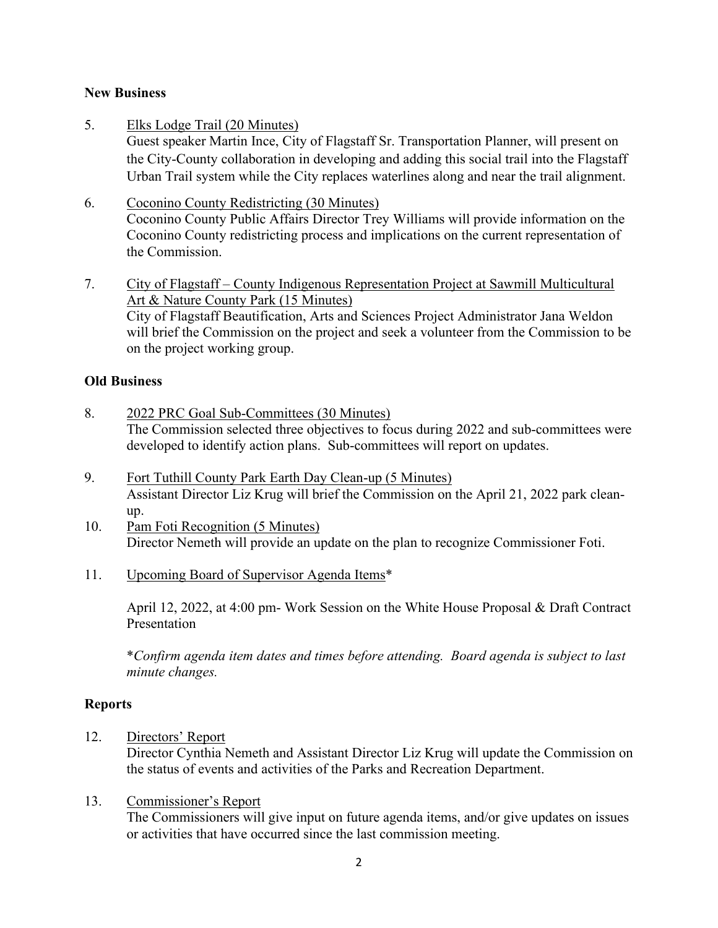# **New Business**

5. Elks Lodge Trail (20 Minutes)

Guest speaker Martin Ince, City of Flagstaff Sr. Transportation Planner, will present on the City-County collaboration in developing and adding this social trail into the Flagstaff Urban Trail system while the City replaces waterlines along and near the trail alignment.

- 6. Coconino County Redistricting (30 Minutes) Coconino County Public Affairs Director Trey Williams will provide information on the Coconino County redistricting process and implications on the current representation of the Commission.
- 7. City of Flagstaff County Indigenous Representation Project at Sawmill Multicultural Art & Nature County Park (15 Minutes) City of Flagstaff Beautification, Arts and Sciences Project Administrator Jana Weldon will brief the Commission on the project and seek a volunteer from the Commission to be on the project working group.

# **Old Business**

- 8. 2022 PRC Goal Sub-Committees (30 Minutes) The Commission selected three objectives to focus during 2022 and sub-committees were developed to identify action plans. Sub-committees will report on updates.
- 9. Fort Tuthill County Park Earth Day Clean-up (5 Minutes) Assistant Director Liz Krug will brief the Commission on the April 21, 2022 park cleanup.
- 10. Pam Foti Recognition (5 Minutes) Director Nemeth will provide an update on the plan to recognize Commissioner Foti.
- 11. Upcoming Board of Supervisor Agenda Items\*

April 12, 2022, at 4:00 pm- Work Session on the White House Proposal & Draft Contract Presentation

 \**Confirm agenda item dates and times before attending. Board agenda is subject to last minute changes.*

# **Reports**

12. Directors' Report

Director Cynthia Nemeth and Assistant Director Liz Krug will update the Commission on the status of events and activities of the Parks and Recreation Department.

# 13. Commissioner's Report

 The Commissioners will give input on future agenda items, and/or give updates on issues or activities that have occurred since the last commission meeting.